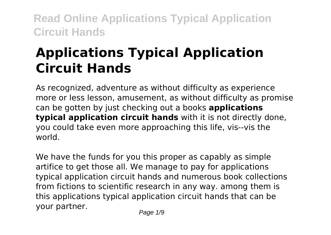# **Applications Typical Application Circuit Hands**

As recognized, adventure as without difficulty as experience more or less lesson, amusement, as without difficulty as promise can be gotten by just checking out a books **applications typical application circuit hands** with it is not directly done, you could take even more approaching this life, vis--vis the world.

We have the funds for you this proper as capably as simple artifice to get those all. We manage to pay for applications typical application circuit hands and numerous book collections from fictions to scientific research in any way. among them is this applications typical application circuit hands that can be your partner.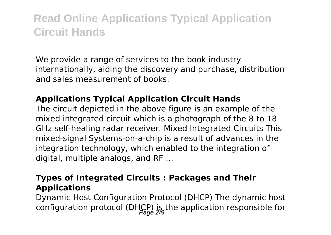We provide a range of services to the book industry internationally, aiding the discovery and purchase, distribution and sales measurement of books.

### **Applications Typical Application Circuit Hands**

The circuit depicted in the above figure is an example of the mixed integrated circuit which is a photograph of the 8 to 18 GHz self-healing radar receiver. Mixed Integrated Circuits This mixed-signal Systems-on-a-chip is a result of advances in the integration technology, which enabled to the integration of digital, multiple analogs, and RF ...

### **Types of Integrated Circuits : Packages and Their Applications**

Dynamic Host Configuration Protocol (DHCP) The dynamic host configuration protocol (DHCP) is the application responsible for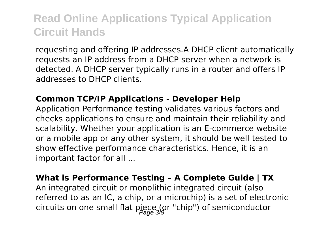requesting and offering IP addresses.A DHCP client automatically requests an IP address from a DHCP server when a network is detected. A DHCP server typically runs in a router and offers IP addresses to DHCP clients.

#### **Common TCP/IP Applications - Developer Help**

Application Performance testing validates various factors and checks applications to ensure and maintain their reliability and scalability. Whether your application is an E-commerce website or a mobile app or any other system, it should be well tested to show effective performance characteristics. Hence, it is an important factor for all ...

### **What is Performance Testing – A Complete Guide | TX**

An integrated circuit or monolithic integrated circuit (also referred to as an IC, a chip, or a microchip) is a set of electronic circuits on one small flat piece (or "chip") of semiconductor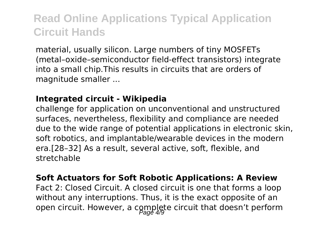material, usually silicon. Large numbers of tiny MOSFETs (metal–oxide–semiconductor field-effect transistors) integrate into a small chip.This results in circuits that are orders of magnitude smaller ...

### **Integrated circuit - Wikipedia**

challenge for application on unconventional and unstructured surfaces, nevertheless, flexibility and compliance are needed due to the wide range of potential applications in electronic skin, soft robotics, and implantable/wearable devices in the modern era.[28–32] As a result, several active, soft, flexible, and stretchable

#### **Soft Actuators for Soft Robotic Applications: A Review**

Fact 2: Closed Circuit. A closed circuit is one that forms a loop without any interruptions. Thus, it is the exact opposite of an open circuit. However, a complete circuit that doesn't perform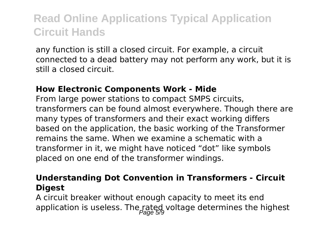any function is still a closed circuit. For example, a circuit connected to a dead battery may not perform any work, but it is still a closed circuit.

#### **How Electronic Components Work - Mide**

From large power stations to compact SMPS circuits, transformers can be found almost everywhere. Though there are many types of transformers and their exact working differs based on the application, the basic working of the Transformer remains the same. When we examine a schematic with a transformer in it, we might have noticed "dot" like symbols placed on one end of the transformer windings.

### **Understanding Dot Convention in Transformers - Circuit Digest**

A circuit breaker without enough capacity to meet its end application is useless. The rated voltage determines the highest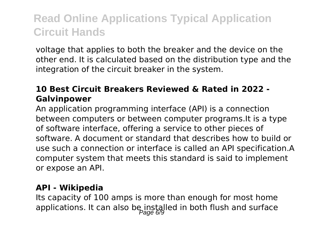voltage that applies to both the breaker and the device on the other end. It is calculated based on the distribution type and the integration of the circuit breaker in the system.

### **10 Best Circuit Breakers Reviewed & Rated in 2022 - Galvinpower**

An application programming interface (API) is a connection between computers or between computer programs.It is a type of software interface, offering a service to other pieces of software. A document or standard that describes how to build or use such a connection or interface is called an API specification.A computer system that meets this standard is said to implement or expose an API.

### **API - Wikipedia**

Its capacity of 100 amps is more than enough for most home applications. It can also be installed in both flush and surface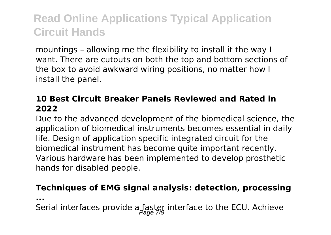mountings – allowing me the flexibility to install it the way I want. There are cutouts on both the top and bottom sections of the box to avoid awkward wiring positions, no matter how I install the panel.

### **10 Best Circuit Breaker Panels Reviewed and Rated in 2022**

Due to the advanced development of the biomedical science, the application of biomedical instruments becomes essential in daily life. Design of application specific integrated circuit for the biomedical instrument has become quite important recently. Various hardware has been implemented to develop prosthetic hands for disabled people.

#### **Techniques of EMG signal analysis: detection, processing**

**...**

Serial interfaces provide a faster interface to the ECU. Achieve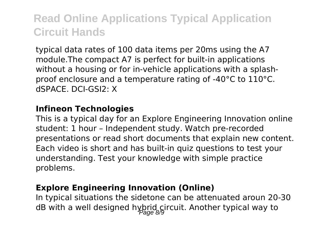typical data rates of 100 data items per 20ms using the A7 module.The compact A7 is perfect for built-in applications without a housing or for in-vehicle applications with a splashproof enclosure and a temperature rating of -40°C to 110°C. dSPACE. DCI-GSI2: X

#### **Infineon Technologies**

This is a typical day for an Explore Engineering Innovation online student: 1 hour – Independent study. Watch pre-recorded presentations or read short documents that explain new content. Each video is short and has built-in quiz questions to test your understanding. Test your knowledge with simple practice problems.

### **Explore Engineering Innovation (Online)**

In typical situations the sidetone can be attenuated aroun 20-30 dB with a well designed hybrid circuit. Another typical way to